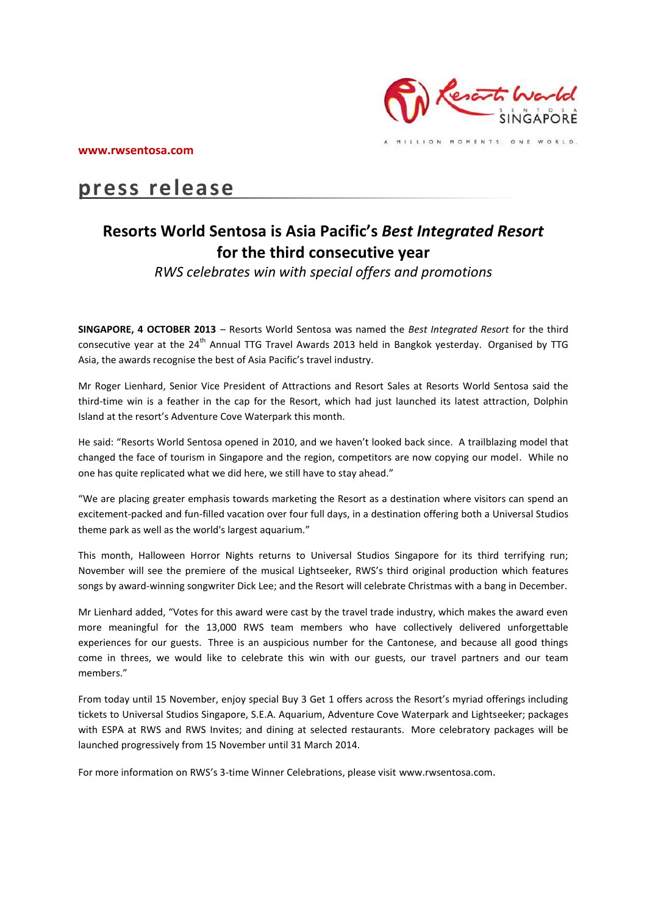

MILLION MOMENTS, ONE WORLD.

# **press release**

## **Resorts World Sentosa is Asia Pacific's** *Best Integrated Resort* **for the third consecutive year**

*RWS celebrates win with special offers and promotions* 

**SINGAPORE, 4 OCTOBER 2013** – Resorts World Sentosa was named the *Best Integrated Resort* for the third consecutive year at the 24<sup>th</sup> Annual TTG Travel Awards 2013 held in Bangkok yesterday. Organised by TTG Asia, the awards recognise the best of Asia Pacific's travel industry.

Mr Roger Lienhard, Senior Vice President of Attractions and Resort Sales at Resorts World Sentosa said the third-time win is a feather in the cap for the Resort, which had just launched its latest attraction, Dolphin Island at the resort's Adventure Cove Waterpark this month.

He said: "Resorts World Sentosa opened in 2010, and we haven't looked back since. A trailblazing model that changed the face of tourism in Singapore and the region, competitors are now copying our model. While no one has quite replicated what we did here, we still have to stay ahead."

"We are placing greater emphasis towards marketing the Resort as a destination where visitors can spend an excitement-packed and fun-filled vacation over four full days, in a destination offering both a Universal Studios theme park as well as the world's largest aquarium."

This month, Halloween Horror Nights returns to Universal Studios Singapore for its third terrifying run; November will see the premiere of the musical Lightseeker, RWS's third original production which features songs by award-winning songwriter Dick Lee; and the Resort will celebrate Christmas with a bang in December.

Mr Lienhard added, "Votes for this award were cast by the travel trade industry, which makes the award even more meaningful for the 13,000 RWS team members who have collectively delivered unforgettable experiences for our guests. Three is an auspicious number for the Cantonese, and because all good things come in threes, we would like to celebrate this win with our guests, our travel partners and our team members."

From today until 15 November, enjoy special Buy 3 Get 1 offers across the Resort's myriad offerings including tickets to Universal Studios Singapore, S.E.A. Aquarium, Adventure Cove Waterpark and Lightseeker; packages with ESPA at RWS and RWS Invites; and dining at selected restaurants. More celebratory packages will be launched progressively from 15 November until 31 March 2014.

For more information on RWS's 3-time Winner Celebrations, please visit [www.rwsentosa.com](http://www.rwsentosa.com/).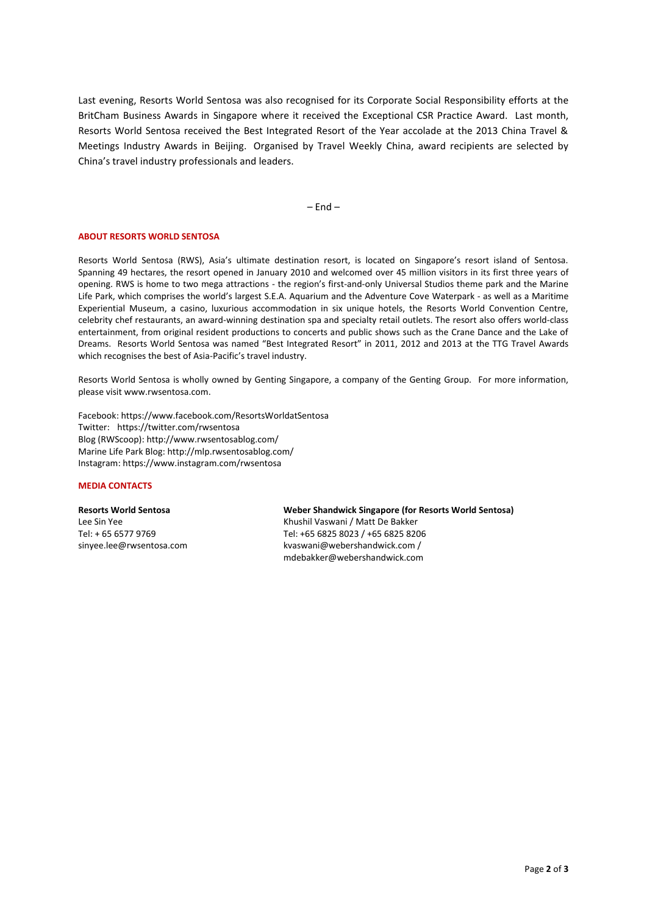Last evening, Resorts World Sentosa was also recognised for its Corporate Social Responsibility efforts at the BritCham Business Awards in Singapore where it received the Exceptional CSR Practice Award. Last month, Resorts World Sentosa received the Best Integrated Resort of the Year accolade at the 2013 China Travel & Meetings Industry Awards in Beijing. Organised by Travel Weekly China, award recipients are selected by China's travel industry professionals and leaders.

 $-$  End  $-$ 

### **ABOUT RESORTS WORLD SENTOSA**

Resorts World Sentosa (RWS), Asia's ultimate destination resort, is located on Singapore's resort island of Sentosa. Spanning 49 hectares, the resort opened in January 2010 and welcomed over 45 million visitors in its first three years of opening. RWS is home to two mega attractions - the region's first-and-only Universal Studios theme park and the Marine Life Park, which comprises the world's largest S.E.A. Aquarium and the Adventure Cove Waterpark - as well as a Maritime Experiential Museum, a casino, luxurious accommodation in six unique hotels, the Resorts World Convention Centre, celebrity chef restaurants, an award-winning destination spa and specialty retail outlets. The resort also offers world-class entertainment, from original resident productions to concerts and public shows such as the Crane Dance and the Lake of Dreams. Resorts World Sentosa was named "Best Integrated Resort" in 2011, 2012 and 2013 at the TTG Travel Awards which recognises the best of Asia-Pacific's travel industry.

Resorts World Sentosa is wholly owned by Genting Singapore, a company of the Genting Group. For more information, please visi[t www.rwsentosa.com.](http://www.rwsentosa.com/)

Facebook[: https://www.facebook.com/ResortsWorldatSentosa](https://www.facebook.com/ResortsWorldatSentosa) Twitter: <https://twitter.com/rwsentosa> Blog (RWScoop):<http://www.rwsentosablog.com/> Marine Life Park Blog[: http://mlp.rwsentosablog.com/](http://mlp.rwsentosablog.com/) Instagram[: https://www.instagram.com/rwsentosa](https://www.instagram.com/rwsentosa)

### **MEDIA CONTACTS**

**Resorts World Sentosa** Lee Sin Yee Tel: + 65 6577 9769 sinyee.lee@rwsentosa.com **Weber Shandwick Singapore (for Resorts World Sentosa)**  Khushil Vaswani / Matt De Bakker Tel: +65 6825 8023 / +65 6825 8206 [kvaswani@webershandwick.com](mailto:kvaswani@webershandwick.com) / [mdebakker@webershandwick.com](mailto:mdebakker@webershandwick.com)